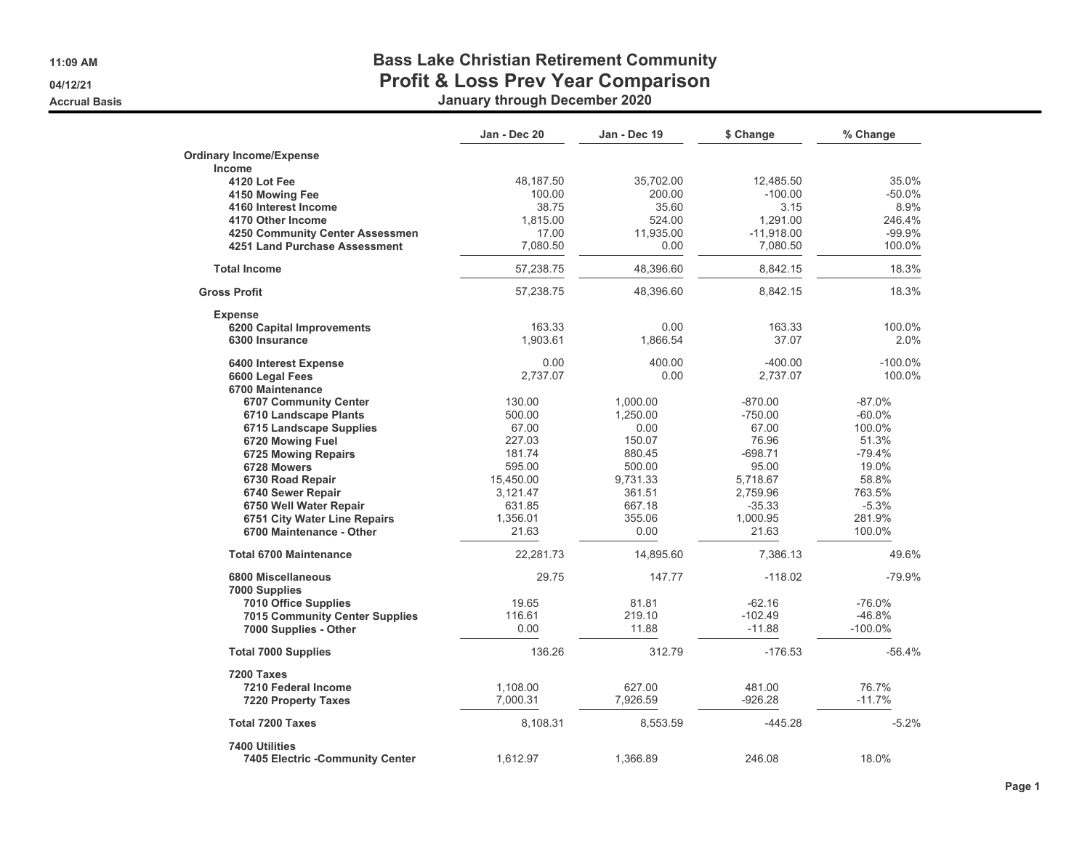**11:09 AM**

#### **04/12/21**

**Accrual Basis**

## **Bass Lake Christian Retirement Community Profit & Loss Prev Year Comparison**

**January through December 2020**

|                                        | Jan - Dec 20 | Jan - Dec 19 | \$ Change    | % Change   |
|----------------------------------------|--------------|--------------|--------------|------------|
| <b>Ordinary Income/Expense</b>         |              |              |              |            |
| Income                                 |              |              |              |            |
| 4120 Lot Fee                           | 48,187.50    | 35,702.00    | 12,485.50    | 35.0%      |
| 4150 Mowing Fee                        | 100.00       | 200.00       | $-100.00$    | $-50.0%$   |
| 4160 Interest Income                   | 38.75        | 35.60        | 3.15         | 8.9%       |
| 4170 Other Income                      | 1.815.00     | 524.00       | 1.291.00     | 246.4%     |
| 4250 Community Center Assessmen        | 17.00        | 11,935.00    | $-11,918.00$ | $-99.9%$   |
| 4251 Land Purchase Assessment          | 7.080.50     | 0.00         | 7,080.50     | 100.0%     |
| <b>Total Income</b>                    | 57,238.75    | 48,396.60    | 8,842.15     | 18.3%      |
| <b>Gross Profit</b>                    | 57,238.75    | 48,396.60    | 8,842.15     | 18.3%      |
| <b>Expense</b>                         |              |              |              |            |
| 6200 Capital Improvements              | 163.33       | 0.00         | 163.33       | 100.0%     |
| 6300 Insurance                         | 1.903.61     | 1.866.54     | 37.07        | 2.0%       |
| 6400 Interest Expense                  | 0.00         | 400.00       | $-400.00$    | $-100.0\%$ |
| 6600 Legal Fees                        | 2,737.07     | 0.00         | 2,737.07     | 100.0%     |
| 6700 Maintenance                       |              |              |              |            |
| <b>6707 Community Center</b>           | 130.00       | 1.000.00     | $-870.00$    | $-87.0%$   |
| 6710 Landscape Plants                  | 500.00       | 1,250.00     | $-750.00$    | $-60.0\%$  |
| 6715 Landscape Supplies                | 67.00        | 0.00         | 67.00        | 100.0%     |
| 6720 Mowing Fuel                       | 227.03       | 150.07       | 76.96        | 51.3%      |
| 6725 Mowing Repairs                    | 181.74       | 880.45       | $-698.71$    | $-79.4%$   |
| 6728 Mowers                            | 595.00       | 500.00       | 95.00        | 19.0%      |
| 6730 Road Repair                       | 15,450.00    | 9,731.33     | 5,718.67     | 58.8%      |
| 6740 Sewer Repair                      | 3,121.47     | 361.51       | 2,759.96     | 763.5%     |
| 6750 Well Water Repair                 | 631.85       | 667.18       | $-35.33$     | $-5.3%$    |
| 6751 City Water Line Repairs           | 1,356.01     | 355.06       | 1,000.95     | 281.9%     |
| 6700 Maintenance - Other               | 21.63        | 0.00         | 21.63        | 100.0%     |
| <b>Total 6700 Maintenance</b>          | 22,281.73    | 14,895.60    | 7.386.13     | 49.6%      |
| <b>6800 Miscellaneous</b>              | 29.75        | 147.77       | $-118.02$    | $-79.9%$   |
| 7000 Supplies                          | 19.65        | 81.81        | $-62.16$     | $-76.0%$   |
| 7010 Office Supplies                   |              |              |              |            |
| <b>7015 Community Center Supplies</b>  | 116.61       | 219.10       | $-102.49$    | $-46.8%$   |
| 7000 Supplies - Other                  | 0.00         | 11.88        | $-11.88$     | $-100.0\%$ |
| <b>Total 7000 Supplies</b>             | 136.26       | 312.79       | $-176.53$    | $-56.4%$   |
| 7200 Taxes                             |              |              |              |            |
| 7210 Federal Income                    | 1,108.00     | 627.00       | 481.00       | 76.7%      |
| <b>7220 Property Taxes</b>             | 7,000.31     | 7,926.59     | $-926.28$    | $-11.7%$   |
| <b>Total 7200 Taxes</b>                | 8,108.31     | 8,553.59     | $-445.28$    | $-5.2%$    |
| 7400 Utilities                         |              |              |              |            |
| <b>7405 Electric -Community Center</b> | 1,612.97     | 1,366.89     | 246.08       | 18.0%      |